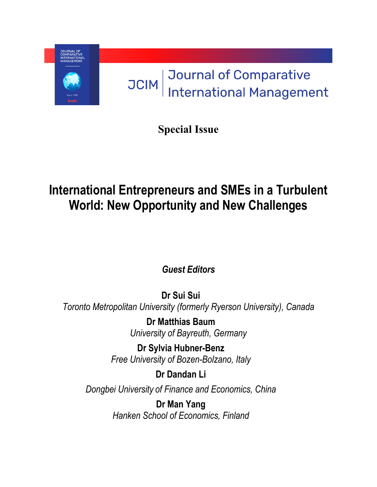

**Special Issue**

# **International Entrepreneurs and SMEs in a Turbulent World: New Opportunity and New Challenges**

*Guest Editors*

**Dr Sui Sui** *Toronto Metropolitan University (formerly Ryerson University), Canada*

> **Dr Matthias Baum** *University of Bayreuth, Germany*

**Dr Sylvia Hubner-Benz** *Free University of Bozen-Bolzano, Italy*

**Dr Dandan Li**

*Dongbei University of Finance and Economics, China*

**Dr Man Yang** *Hanken School of Economics, Finland*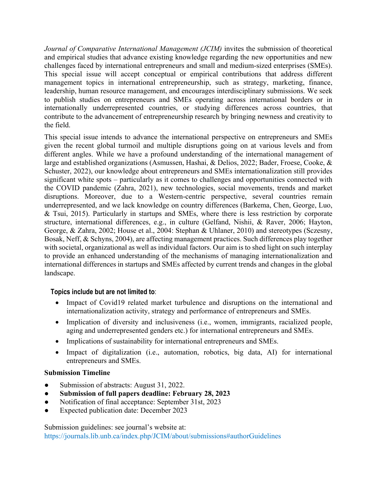*Journal of Comparative International Management (JCIM)* invites the submission of theoretical and empirical studies that advance existing knowledge regarding the new opportunities and new challenges faced by international entrepreneurs and small and medium-sized enterprises (SMEs). This special issue will accept conceptual or empirical contributions that address different management topics in international entrepreneurship, such as strategy, marketing, finance, leadership, human resource management, and encourages interdisciplinary submissions. We seek to publish studies on entrepreneurs and SMEs operating across international borders or in internationally underrepresented countries, or studying differences across countries, that contribute to the advancement of entrepreneurship research by bringing newness and creativity to the field.

This special issue intends to advance the international perspective on entrepreneurs and SMEs given the recent global turmoil and multiple disruptions going on at various levels and from different angles. While we have a profound understanding of the international management of large and established organizations (Asmussen, Hashai, & Delios, 2022; Bader, Froese, Cooke, & Schuster, 2022), our knowledge about entrepreneurs and SMEs internationalization still provides significant white spots – particularly as it comes to challenges and opportunities connected with the COVID pandemic (Zahra, 2021), new technologies, social movements, trends and market disruptions. Moreover, due to a Western-centric perspective, several countries remain underrepresented, and we lack knowledge on country differences (Barkema, Chen, George, Luo, & Tsui, 2015). Particularly in startups and SMEs, where there is less restriction by corporate structure, international differences, e.g., in culture (Gelfand, Nishii, & Raver, 2006; Hayton, George, & Zahra, 2002; House et al., 2004: Stephan & Uhlaner, 2010) and stereotypes (Sczesny, Bosak, Neff, & Schyns, 2004), are affecting management practices. Such differences play together with societal, organizational as well as individual factors. Our aim is to shed light on such interplay to provide an enhanced understanding of the mechanisms of managing internationalization and international differences in startups and SMEs affected by current trends and changes in the global landscape.

## **Topics include but are not limited to**:

- Impact of Covid19 related market turbulence and disruptions on the international and internationalization activity, strategy and performance of entrepreneurs and SMEs.
- Implication of diversity and inclusiveness (i.e., women, immigrants, racialized people, aging and underrepresented genders etc.) for international entrepreneurs and SMEs.
- Implications of sustainability for international entrepreneurs and SMEs.
- Impact of digitalization (i.e., automation, robotics, big data, AI) for international entrepreneurs and SMEs.

## **Submission Timeline**

- Submission of abstracts: August 31, 2022.
- **Submission of full papers deadline: February 28, 2023**
- Notification of final acceptance: September 31st, 2023
- Expected publication date: December 2023

Submission guidelines: see journal's website at: https://journals.lib.unb.ca/index.php/JCIM/about/submissions#authorGuidelines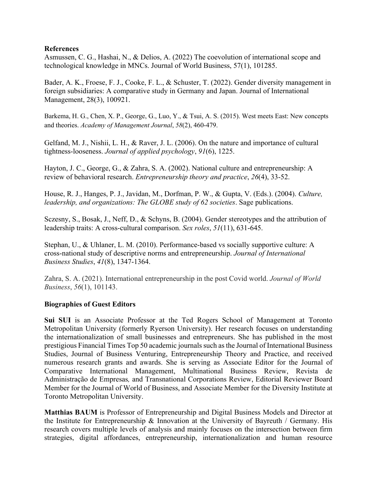### **References**

Asmussen, C. G., Hashai, N., & Delios, A. (2022) The coevolution of international scope and technological knowledge in MNCs. Journal of World Business, 57(1), 101285.

Bader, A. K., Froese, F. J., Cooke, F. L., & Schuster, T. (2022). Gender diversity management in foreign subsidiaries: A comparative study in Germany and Japan. Journal of International Management, 28(3), 100921.

Barkema, H. G., Chen, X. P., George, G., Luo, Y., & Tsui, A. S. (2015). West meets East: New concepts and theories. *Academy of Management Journal*, *58*(2), 460-479.

Gelfand, M. J., Nishii, L. H., & Raver, J. L. (2006). On the nature and importance of cultural tightness-looseness. *Journal of applied psychology*, *91*(6), 1225.

Hayton, J. C., George, G., & Zahra, S. A. (2002). National culture and entrepreneurship: A review of behavioral research. *Entrepreneurship theory and practice*, *26*(4), 33-52.

House, R. J., Hanges, P. J., Javidan, M., Dorfman, P. W., & Gupta, V. (Eds.). (2004). *Culture, leadership, and organizations: The GLOBE study of 62 societies*. Sage publications.

Sczesny, S., Bosak, J., Neff, D., & Schyns, B. (2004). Gender stereotypes and the attribution of leadership traits: A cross-cultural comparison. *Sex roles*, *51*(11), 631-645.

Stephan, U., & Uhlaner, L. M. (2010). Performance-based vs socially supportive culture: A cross-national study of descriptive norms and entrepreneurship. *Journal of International Business Studies*, *41*(8), 1347-1364.

Zahra, S. A. (2021). International entrepreneurship in the post Covid world. *Journal of World Business*, *56*(1), 101143.

## **Biographies of Guest Editors**

**Sui SUI** is an Associate Professor at the Ted Rogers School of Management at Toronto Metropolitan University (formerly Ryerson University). Her research focuses on understanding the internationalization of small businesses and entrepreneurs. She has published in the most prestigious Financial Times Top 50 academic journals such as the Journal of International Business Studies, Journal of Business Venturing, Entrepreneurship Theory and Practice, and received numerous research grants and awards. She is serving as Associate Editor for the Journal of Comparative International Management, Multinational Business Review, Revista de Administração de Empresas*,* and Transnational Corporations Review, Editorial Reviewer Board Member for the Journal of World of Business, and Associate Member for the Diversity Institute at Toronto Metropolitan University.

**Matthias BAUM** is Professor of Entrepreneurship and Digital Business Models and Director at the Institute for Entrepreneurship & Innovation at the University of Bayreuth / Germany. His research covers multiple levels of analysis and mainly focuses on the intersection between firm strategies, digital affordances, entrepreneurship, internationalization and human resource